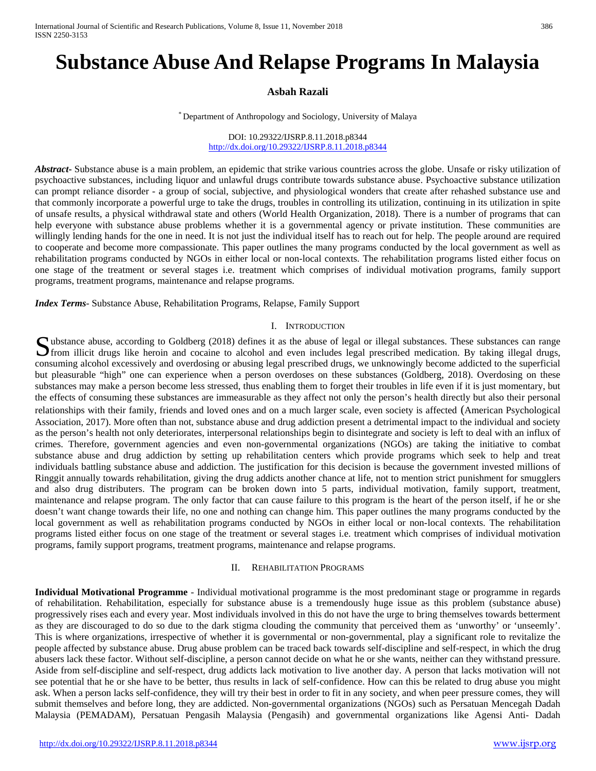# **Substance Abuse And Relapse Programs In Malaysia**

# **Asbah Razali**

\* Department of Anthropology and Sociology, University of Malaya

DOI: 10.29322/IJSRP.8.11.2018.p8344 <http://dx.doi.org/10.29322/IJSRP.8.11.2018.p8344>

*Abstract***-** Substance abuse is a main problem, an epidemic that strike various countries across the globe. Unsafe or risky utilization of psychoactive substances, including liquor and unlawful drugs contribute towards substance abuse. Psychoactive substance utilization can prompt reliance disorder - a group of social, subjective, and physiological wonders that create after rehashed substance use and that commonly incorporate a powerful urge to take the drugs, troubles in controlling its utilization, continuing in its utilization in spite of unsafe results, a physical withdrawal state and others (World Health Organization, 2018). There is a number of programs that can help everyone with substance abuse problems whether it is a governmental agency or private institution. These communities are willingly lending hands for the one in need. It is not just the individual itself has to reach out for help. The people around are required to cooperate and become more compassionate. This paper outlines the many programs conducted by the local government as well as rehabilitation programs conducted by NGOs in either local or non-local contexts. The rehabilitation programs listed either focus on one stage of the treatment or several stages i.e. treatment which comprises of individual motivation programs, family support programs, treatment programs, maintenance and relapse programs.

*Index Terms*- Substance Abuse, Rehabilitation Programs, Relapse, Family Support

## I. INTRODUCTION

ubstance abuse, according to Goldberg (2018) defines it as the abuse of legal or illegal substances. These substances can range Substance abuse, according to Goldberg (2018) defines it as the abuse of legal or illegal substances. These substances can range from illicit drugs like heroin and cocaine to alcohol and even includes legal prescribed medi consuming alcohol excessively and overdosing or abusing legal prescribed drugs, we unknowingly become addicted to the superficial but pleasurable "high" one can experience when a person overdoses on these substances (Goldberg, 2018). Overdosing on these substances may make a person become less stressed, thus enabling them to forget their troubles in life even if it is just momentary, but the effects of consuming these substances are immeasurable as they affect not only the person's health directly but also their personal relationships with their family, friends and loved ones and on a much larger scale, even society is affected (American Psychological Association, 2017). More often than not, substance abuse and drug addiction present a detrimental impact to the individual and society as the person's health not only deteriorates, interpersonal relationships begin to disintegrate and society is left to deal with an influx of crimes. Therefore, government agencies and even non-governmental organizations (NGOs) are taking the initiative to combat substance abuse and drug addiction by setting up rehabilitation centers which provide programs which seek to help and treat individuals battling substance abuse and addiction. The justification for this decision is because the government invested millions of Ringgit annually towards rehabilitation, giving the drug addicts another chance at life, not to mention strict punishment for smugglers and also drug distributers. The program can be broken down into 5 parts, individual motivation, family support, treatment, maintenance and relapse program. The only factor that can cause failure to this program is the heart of the person itself, if he or she doesn't want change towards their life, no one and nothing can change him. This paper outlines the many programs conducted by the local government as well as rehabilitation programs conducted by NGOs in either local or non-local contexts. The rehabilitation programs listed either focus on one stage of the treatment or several stages i.e. treatment which comprises of individual motivation programs, family support programs, treatment programs, maintenance and relapse programs.

#### II. REHABILITATION PROGRAMS

**Individual Motivational Programme** - Individual motivational programme is the most predominant stage or programme in regards of rehabilitation. Rehabilitation, especially for substance abuse is a tremendously huge issue as this problem (substance abuse) progressively rises each and every year. Most individuals involved in this do not have the urge to bring themselves towards betterment as they are discouraged to do so due to the dark stigma clouding the community that perceived them as 'unworthy' or 'unseemly'. This is where organizations, irrespective of whether it is governmental or non-governmental, play a significant role to revitalize the people affected by substance abuse. Drug abuse problem can be traced back towards self-discipline and self-respect, in which the drug abusers lack these factor. Without self-discipline, a person cannot decide on what he or she wants, neither can they withstand pressure. Aside from self-discipline and self-respect, drug addicts lack motivation to live another day. A person that lacks motivation will not see potential that he or she have to be better, thus results in lack of self-confidence. How can this be related to drug abuse you might ask. When a person lacks self-confidence, they will try their best in order to fit in any society, and when peer pressure comes, they will submit themselves and before long, they are addicted. Non-governmental organizations (NGOs) such as Persatuan Mencegah Dadah Malaysia (PEMADAM), Persatuan Pengasih Malaysia (Pengasih) and governmental organizations like Agensi Anti- Dadah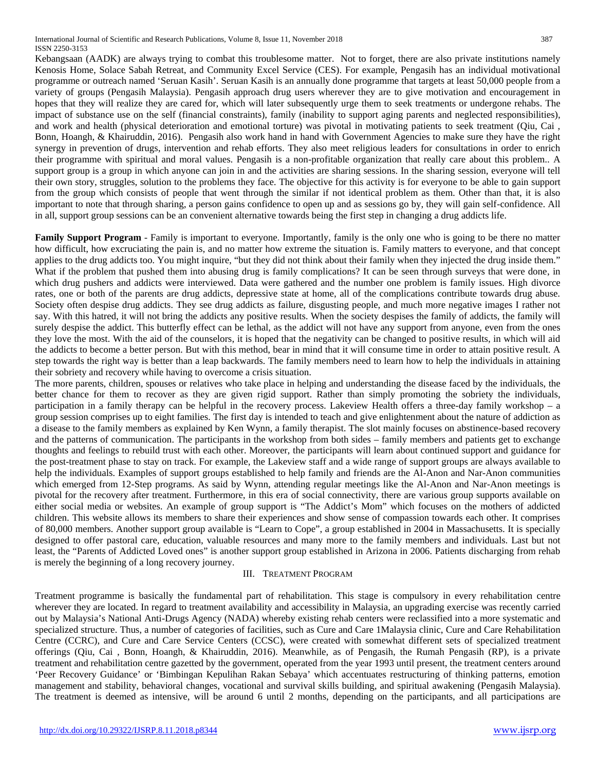Kebangsaan (AADK) are always trying to combat this troublesome matter. Not to forget, there are also private institutions namely Kenosis Home, Solace Sabah Retreat, and Community Excel Service (CES). For example, Pengasih has an individual motivational programme or outreach named 'Seruan Kasih'. Seruan Kasih is an annually done programme that targets at least 50,000 people from a variety of groups (Pengasih Malaysia). Pengasih approach drug users wherever they are to give motivation and encouragement in hopes that they will realize they are cared for, which will later subsequently urge them to seek treatments or undergone rehabs. The impact of substance use on the self (financial constraints), family (inability to support aging parents and neglected responsibilities), and work and health (physical deterioration and emotional torture) was pivotal in motivating patients to seek treatment (Qiu, Cai , Bonn, Hoangh, & Khairuddin, 2016). Pengasih also work hand in hand with Government Agencies to make sure they have the right synergy in prevention of drugs, intervention and rehab efforts. They also meet religious leaders for consultations in order to enrich their programme with spiritual and moral values. Pengasih is a non-profitable organization that really care about this problem.. A support group is a group in which anyone can join in and the activities are sharing sessions. In the sharing session, everyone will tell their own story, struggles, solution to the problems they face. The objective for this activity is for everyone to be able to gain support from the group which consists of people that went through the similar if not identical problem as them. Other than that, it is also important to note that through sharing, a person gains confidence to open up and as sessions go by, they will gain self-confidence. All in all, support group sessions can be an convenient alternative towards being the first step in changing a drug addicts life.

**Family Support Program** - Family is important to everyone. Importantly, family is the only one who is going to be there no matter how difficult, how excruciating the pain is, and no matter how extreme the situation is. Family matters to everyone, and that concept applies to the drug addicts too. You might inquire, "but they did not think about their family when they injected the drug inside them." What if the problem that pushed them into abusing drug is family complications? It can be seen through surveys that were done, in which drug pushers and addicts were interviewed. Data were gathered and the number one problem is family issues. High divorce rates, one or both of the parents are drug addicts, depressive state at home, all of the complications contribute towards drug abuse. Society often despise drug addicts. They see drug addicts as failure, disgusting people, and much more negative images I rather not say. With this hatred, it will not bring the addicts any positive results. When the society despises the family of addicts, the family will surely despise the addict. This butterfly effect can be lethal, as the addict will not have any support from anyone, even from the ones they love the most. With the aid of the counselors, it is hoped that the negativity can be changed to positive results, in which will aid the addicts to become a better person. But with this method, bear in mind that it will consume time in order to attain positive result. A step towards the right way is better than a leap backwards. The family members need to learn how to help the individuals in attaining their sobriety and recovery while having to overcome a crisis situation.

The more parents, children, spouses or relatives who take place in helping and understanding the disease faced by the individuals, the better chance for them to recover as they are given rigid support. Rather than simply promoting the sobriety the individuals, participation in a family therapy can be helpful in the recovery process. Lakeview Health offers a three-day family workshop – a group session comprises up to eight families. The first day is intended to teach and give enlightenment about the nature of addiction as a disease to the family members as explained by Ken Wynn, a family therapist. The slot mainly focuses on abstinence-based recovery and the patterns of communication. The participants in the workshop from both sides – family members and patients get to exchange thoughts and feelings to rebuild trust with each other. Moreover, the participants will learn about continued support and guidance for the post-treatment phase to stay on track. For example, the Lakeview staff and a wide range of support groups are always available to help the individuals. Examples of support groups established to help family and friends are the Al-Anon and Nar-Anon communities which emerged from 12-Step programs. As said by Wynn, attending regular meetings like the Al-Anon and Nar-Anon meetings is pivotal for the recovery after treatment. Furthermore, in this era of social connectivity, there are various group supports available on either social media or websites. An example of group support is "The Addict's Mom" which focuses on the mothers of addicted children. This website allows its members to share their experiences and show sense of compassion towards each other. It comprises of 80,000 members. Another support group available is "Learn to Cope", a group established in 2004 in Massachusetts. It is specially designed to offer pastoral care, education, valuable resources and many more to the family members and individuals. Last but not least, the "Parents of Addicted Loved ones" is another support group established in Arizona in 2006. Patients discharging from rehab is merely the beginning of a long recovery journey.

## III. TREATMENT PROGRAM

Treatment programme is basically the fundamental part of rehabilitation. This stage is compulsory in every rehabilitation centre wherever they are located. In regard to treatment availability and accessibility in Malaysia, an upgrading exercise was recently carried out by Malaysia's National Anti-Drugs Agency (NADA) whereby existing rehab centers were reclassified into a more systematic and specialized structure. Thus, a number of categories of facilities, such as Cure and Care 1Malaysia clinic, Cure and Care Rehabilitation Centre (CCRC), and Cure and Care Service Centers (CCSC), were created with somewhat different sets of specialized treatment offerings (Qiu, Cai , Bonn, Hoangh, & Khairuddin, 2016). Meanwhile, as of Pengasih, the Rumah Pengasih (RP), is a private treatment and rehabilitation centre gazetted by the government, operated from the year 1993 until present, the treatment centers around 'Peer Recovery Guidance' or 'Bimbingan Kepulihan Rakan Sebaya' which accentuates restructuring of thinking patterns, emotion management and stability, behavioral changes, vocational and survival skills building, and spiritual awakening (Pengasih Malaysia). The treatment is deemed as intensive, will be around 6 until 2 months, depending on the participants, and all participations are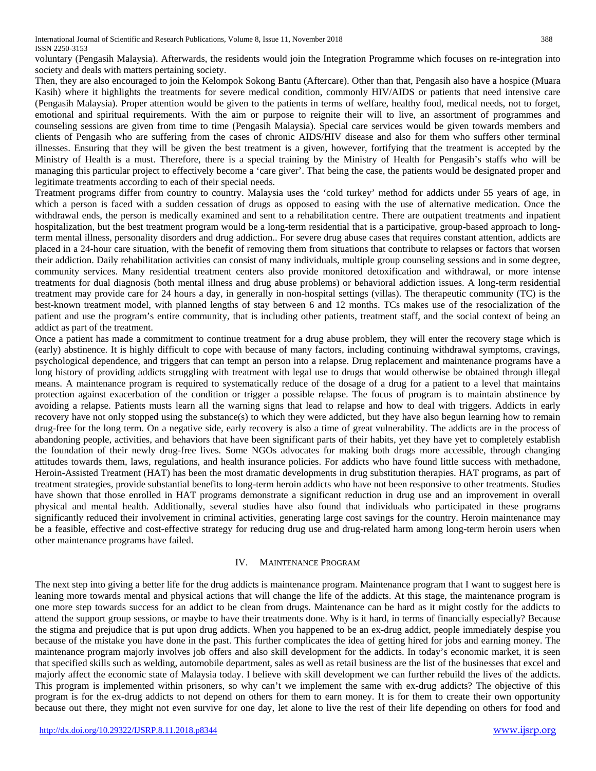voluntary (Pengasih Malaysia). Afterwards, the residents would join the Integration Programme which focuses on re-integration into society and deals with matters pertaining society.

Then, they are also encouraged to join the Kelompok Sokong Bantu (Aftercare). Other than that, Pengasih also have a hospice (Muara Kasih) where it highlights the treatments for severe medical condition, commonly HIV/AIDS or patients that need intensive care (Pengasih Malaysia). Proper attention would be given to the patients in terms of welfare, healthy food, medical needs, not to forget, emotional and spiritual requirements. With the aim or purpose to reignite their will to live, an assortment of programmes and counseling sessions are given from time to time (Pengasih Malaysia). Special care services would be given towards members and clients of Pengasih who are suffering from the cases of chronic AIDS/HIV disease and also for them who suffers other terminal illnesses. Ensuring that they will be given the best treatment is a given, however, fortifying that the treatment is accepted by the Ministry of Health is a must. Therefore, there is a special training by the Ministry of Health for Pengasih's staffs who will be managing this particular project to effectively become a 'care giver'. That being the case, the patients would be designated proper and legitimate treatments according to each of their special needs.

Treatment programs differ from country to country. Malaysia uses the 'cold turkey' method for addicts under 55 years of age, in which a person is faced with a sudden cessation of drugs as opposed to easing with the use of alternative medication. Once the withdrawal ends, the person is medically examined and sent to a rehabilitation centre. There are outpatient treatments and inpatient hospitalization, but the best treatment program would be a long-term residential that is a participative, group-based approach to longterm mental illness, personality disorders and drug addiction.. For severe drug abuse cases that requires constant attention, addicts are placed in a 24-hour care situation, with the benefit of removing them from situations that contribute to relapses or factors that worsen their addiction. Daily rehabilitation activities can consist of many individuals, multiple group counseling sessions and in some degree, community services. Many residential treatment centers also provide monitored detoxification and withdrawal, or more intense treatments for dual diagnosis (both mental illness and drug abuse problems) or behavioral addiction issues. A long-term residential treatment may provide care for 24 hours a day, in generally in non-hospital settings (villas). The therapeutic community (TC) is the best-known treatment model, with planned lengths of stay between 6 and 12 months. TCs makes use of the resocialization of the patient and use the program's entire community, that is including other patients, treatment staff, and the social context of being an addict as part of the treatment.

Once a patient has made a commitment to continue treatment for a drug abuse problem, they will enter the recovery stage which is (early) abstinence. It is highly difficult to cope with because of many factors, including continuing withdrawal symptoms, cravings, psychological dependence, and triggers that can tempt an person into a relapse. Drug replacement and maintenance programs have a long history of providing addicts struggling with treatment with legal use to drugs that would otherwise be obtained through illegal means. A maintenance program is required to systematically reduce of the dosage of a drug for a patient to a level that maintains protection against exacerbation of the condition or trigger a possible relapse. The focus of program is to maintain abstinence by avoiding a relapse. Patients musts learn all the warning signs that lead to relapse and how to deal with triggers. Addicts in early recovery have not only stopped using the substance(s) to which they were addicted, but they have also begun learning how to remain drug-free for the long term. On a negative side, early recovery is also a time of great vulnerability. The addicts are in the process of abandoning people, activities, and behaviors that have been significant parts of their habits, yet they have yet to completely establish the foundation of their newly drug-free lives. Some NGOs advocates for making both drugs more accessible, through changing attitudes towards them, laws, regulations, and health insurance policies. For addicts who have found little success with methadone, Heroin-Assisted Treatment (HAT) has been the most dramatic developments in drug substitution therapies. HAT programs, as part of treatment strategies, provide substantial benefits to long-term heroin addicts who have not been responsive to other treatments. Studies have shown that those enrolled in HAT programs demonstrate a significant reduction in drug use and an improvement in overall physical and mental health. Additionally, several studies have also found that individuals who participated in these programs significantly reduced their involvement in criminal activities, generating large cost savings for the country. Heroin maintenance may be a feasible, effective and cost-effective strategy for reducing drug use and drug-related harm among long-term heroin users when other maintenance programs have failed.

## IV. MAINTENANCE PROGRAM

The next step into giving a better life for the drug addicts is maintenance program. Maintenance program that I want to suggest here is leaning more towards mental and physical actions that will change the life of the addicts. At this stage, the maintenance program is one more step towards success for an addict to be clean from drugs. Maintenance can be hard as it might costly for the addicts to attend the support group sessions, or maybe to have their treatments done. Why is it hard, in terms of financially especially? Because the stigma and prejudice that is put upon drug addicts. When you happened to be an ex-drug addict, people immediately despise you because of the mistake you have done in the past. This further complicates the idea of getting hired for jobs and earning money. The maintenance program majorly involves job offers and also skill development for the addicts. In today's economic market, it is seen that specified skills such as welding, automobile department, sales as well as retail business are the list of the businesses that excel and majorly affect the economic state of Malaysia today. I believe with skill development we can further rebuild the lives of the addicts. This program is implemented within prisoners, so why can't we implement the same with ex-drug addicts? The objective of this program is for the ex-drug addicts to not depend on others for them to earn money. It is for them to create their own opportunity because out there, they might not even survive for one day, let alone to live the rest of their life depending on others for food and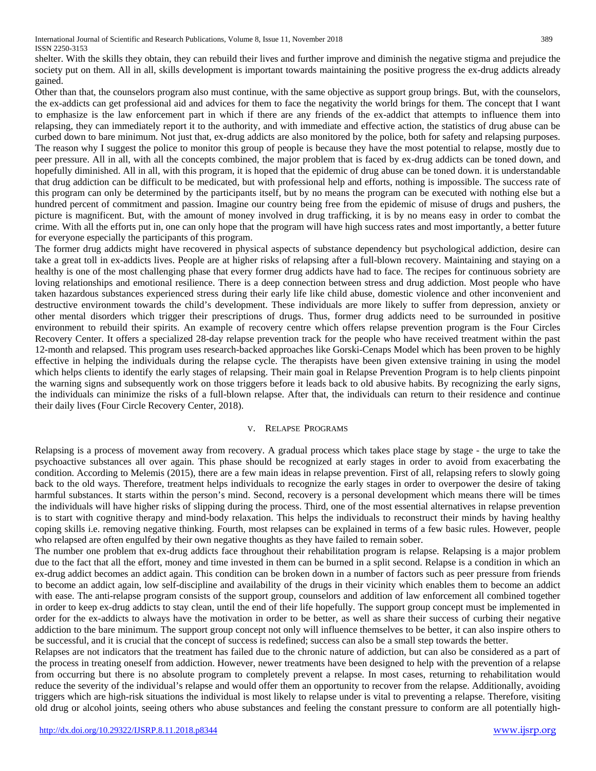shelter. With the skills they obtain, they can rebuild their lives and further improve and diminish the negative stigma and prejudice the society put on them. All in all, skills development is important towards maintaining the positive progress the ex-drug addicts already gained.

Other than that, the counselors program also must continue, with the same objective as support group brings. But, with the counselors, the ex-addicts can get professional aid and advices for them to face the negativity the world brings for them. The concept that I want to emphasize is the law enforcement part in which if there are any friends of the ex-addict that attempts to influence them into relapsing, they can immediately report it to the authority, and with immediate and effective action, the statistics of drug abuse can be curbed down to bare minimum. Not just that, ex-drug addicts are also monitored by the police, both for safety and relapsing purposes. The reason why I suggest the police to monitor this group of people is because they have the most potential to relapse, mostly due to peer pressure. All in all, with all the concepts combined, the major problem that is faced by ex-drug addicts can be toned down, and hopefully diminished. All in all, with this program, it is hoped that the epidemic of drug abuse can be toned down. it is understandable that drug addiction can be difficult to be medicated, but with professional help and efforts, nothing is impossible. The success rate of this program can only be determined by the participants itself, but by no means the program can be executed with nothing else but a hundred percent of commitment and passion. Imagine our country being free from the epidemic of misuse of drugs and pushers, the picture is magnificent. But, with the amount of money involved in drug trafficking, it is by no means easy in order to combat the crime. With all the efforts put in, one can only hope that the program will have high success rates and most importantly, a better future for everyone especially the participants of this program.

The former drug addicts might have recovered in physical aspects of substance dependency but psychological addiction, desire can take a great toll in ex-addicts lives. People are at higher risks of relapsing after a full-blown recovery. Maintaining and staying on a healthy is one of the most challenging phase that every former drug addicts have had to face. The recipes for continuous sobriety are loving relationships and emotional resilience. There is a deep connection between stress and drug addiction. Most people who have taken hazardous substances experienced stress during their early life like child abuse, domestic violence and other inconvenient and destructive environment towards the child's development. These individuals are more likely to suffer from depression, anxiety or other mental disorders which trigger their prescriptions of drugs. Thus, former drug addicts need to be surrounded in positive environment to rebuild their spirits. An example of recovery centre which offers relapse prevention program is the Four Circles Recovery Center. It offers a specialized 28-day relapse prevention track for the people who have received treatment within the past 12-month and relapsed. This program uses research-backed approaches like Gorski-Cenaps Model which has been proven to be highly effective in helping the individuals during the relapse cycle. The therapists have been given extensive training in using the model which helps clients to identify the early stages of relapsing. Their main goal in Relapse Prevention Program is to help clients pinpoint the warning signs and subsequently work on those triggers before it leads back to old abusive habits. By recognizing the early signs, the individuals can minimize the risks of a full-blown relapse. After that, the individuals can return to their residence and continue their daily lives (Four Circle Recovery Center, 2018).

## V. RELAPSE PROGRAMS

Relapsing is a process of movement away from recovery. A gradual process which takes place stage by stage - the urge to take the psychoactive substances all over again. This phase should be recognized at early stages in order to avoid from exacerbating the condition. According to Melemis (2015), there are a few main ideas in relapse prevention. First of all, relapsing refers to slowly going back to the old ways. Therefore, treatment helps individuals to recognize the early stages in order to overpower the desire of taking harmful substances. It starts within the person's mind. Second, recovery is a personal development which means there will be times the individuals will have higher risks of slipping during the process. Third, one of the most essential alternatives in relapse prevention is to start with cognitive therapy and mind-body relaxation. This helps the individuals to reconstruct their minds by having healthy coping skills i.e. removing negative thinking. Fourth, most relapses can be explained in terms of a few basic rules. However, people who relapsed are often engulfed by their own negative thoughts as they have failed to remain sober.

The number one problem that ex-drug addicts face throughout their rehabilitation program is relapse. Relapsing is a major problem due to the fact that all the effort, money and time invested in them can be burned in a split second. Relapse is a condition in which an ex-drug addict becomes an addict again. This condition can be broken down in a number of factors such as peer pressure from friends to become an addict again, low self-discipline and availability of the drugs in their vicinity which enables them to become an addict with ease. The anti-relapse program consists of the support group, counselors and addition of law enforcement all combined together in order to keep ex-drug addicts to stay clean, until the end of their life hopefully. The support group concept must be implemented in order for the ex-addicts to always have the motivation in order to be better, as well as share their success of curbing their negative addiction to the bare minimum. The support group concept not only will influence themselves to be better, it can also inspire others to be successful, and it is crucial that the concept of success is redefined; success can also be a small step towards the better.

Relapses are not indicators that the treatment has failed due to the chronic nature of addiction, but can also be considered as a part of the process in treating oneself from addiction. However, newer treatments have been designed to help with the prevention of a relapse from occurring but there is no absolute program to completely prevent a relapse. In most cases, returning to rehabilitation would reduce the severity of the individual's relapse and would offer them an opportunity to recover from the relapse. Additionally, avoiding triggers which are high-risk situations the individual is most likely to relapse under is vital to preventing a relapse. Therefore, visiting old drug or alcohol joints, seeing others who abuse substances and feeling the constant pressure to conform are all potentially high